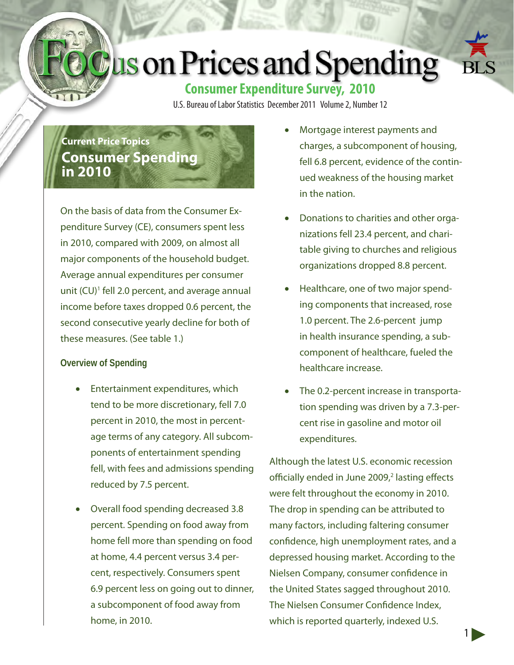# **Lus on Prices and Spending**



### **Consumer Expenditure Survey, 2010**

U.S. Bureau of Labor Statistics December 2011 Volume 2, Number 12

## **Current Price Topics Consumer Spending in 2010**

On the basis of data from the Consumer Expenditure Survey (CE), consumers spent less in 2010, compared with 2009, on almost all major components of the household budget. Average annual expenditures per consumer unit (CU)<sup>1</sup> fell 2.0 percent, and average annual income before taxes dropped 0.6 percent, the second consecutive yearly decline for both of these measures. (See table 1.)

#### **Overview of Spending**

- Entertainment expenditures, which tend to be more discretionary, fell 7.0 percent in 2010, the most in percentage terms of any category. All subcomponents of entertainment spending fell, with fees and admissions spending reduced by 7.5 percent.
- **Overall food spending decreased 3.8** percent. Spending on food away from home fell more than spending on food at home, 4.4 percent versus 3.4 percent, respectively. Consumers spent 6.9 percent less on going out to dinner, a subcomponent of food away from home, in 2010.
- Mortgage interest payments and charges, a subcomponent of housing, fell 6.8 percent, evidence of the continued weakness of the housing market in the nation.
- Donations to charities and other organizations fell 23.4 percent, and charitable giving to churches and religious organizations dropped 8.8 percent.
- Healthcare, one of two major spending components that increased, rose 1.0 percent. The 2.6-percent jump in health insurance spending, a subcomponent of healthcare, fueled the healthcare increase.
- The 0.2-percent increase in transportation spending was driven by a 7.3-percent rise in gasoline and motor oil expenditures.

Although the latest U.S. economic recession officially ended in June 2009,<sup>2</sup> lasting effects were felt throughout the economy in 2010. The drop in spending can be attributed to many factors, including faltering consumer confidence, high unemployment rates, and a depressed housing market. According to the Nielsen Company, consumer confidence in the United States sagged throughout 2010. The Nielsen Consumer Confidence Index, which is reported quarterly, indexed U.S.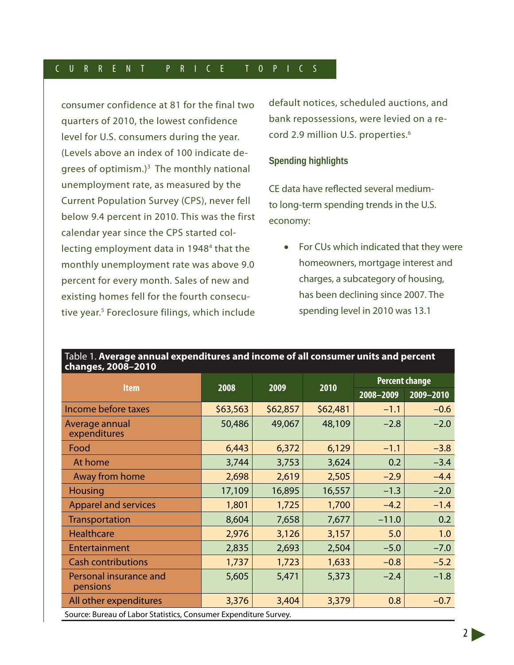consumer confidence at 81 for the final two quarters of 2010, the lowest confidence level for U.S. consumers during the year. (Levels above an index of 100 indicate degrees of optimism.)<sup>3</sup> The monthly national unemployment rate, as measured by the Current Population Survey (CPS), never fell below 9.4 percent in 2010. This was the first calendar year since the CPS started collecting employment data in 1948<sup>4</sup> that the monthly unemployment rate was above 9.0 percent for every month. Sales of new and existing homes fell for the fourth consecutive year.<sup>5</sup> Foreclosure filings, which include default notices, scheduled auctions, and bank repossessions, were levied on a record 2.9 million U.S. properties.<sup>6</sup>

#### **Spending highlights**

CE data have reflected several mediumto long-term spending trends in the U.S. economy:

• For CUs which indicated that they were homeowners, mortgage interest and charges, a subcategory of housing, has been declining since 2007. The spending level in 2010 was 13.1

| changes, 2008-2010                                               |          |          |          |                       |               |
|------------------------------------------------------------------|----------|----------|----------|-----------------------|---------------|
| <b>Item</b>                                                      | 2008     | 2009     | 2010     | <b>Percent change</b> |               |
|                                                                  |          |          |          | 2008-2009             | $2009 - 2010$ |
| Income before taxes                                              | \$63,563 | \$62,857 | \$62,481 | $-1.1$                | $-0.6$        |
| Average annual<br>expenditures                                   | 50,486   | 49,067   | 48,109   | $-2.8$                | $-2.0$        |
| Food                                                             | 6,443    | 6,372    | 6,129    | $-1.1$                | $-3.8$        |
| At home                                                          | 3,744    | 3,753    | 3,624    | 0.2                   | $-3.4$        |
| Away from home                                                   | 2,698    | 2,619    | 2,505    | $-2.9$                | $-4.4$        |
| <b>Housing</b>                                                   | 17,109   | 16,895   | 16,557   | $-1.3$                | $-2.0$        |
| <b>Apparel and services</b>                                      | 1,801    | 1,725    | 1,700    | $-4.2$                | $-1.4$        |
| Transportation                                                   | 8,604    | 7,658    | 7,677    | $-11.0$               | 0.2           |
| <b>Healthcare</b>                                                | 2,976    | 3,126    | 3,157    | 5.0                   | 1.0           |
| Entertainment                                                    | 2,835    | 2,693    | 2,504    | $-5.0$                | $-7.0$        |
| <b>Cash contributions</b>                                        | 1,737    | 1,723    | 1,633    | $-0.8$                | $-5.2$        |
| Personal insurance and<br>pensions                               | 5,605    | 5,471    | 5,373    | $-2.4$                | $-1.8$        |
| All other expenditures                                           | 3,376    | 3,404    | 3,379    | 0.8                   | $-0.7$        |
| Source: Bureau of Labor Statistics, Consumer Expenditure Survey. |          |          |          |                       |               |

## Table 1. **Average annual expenditures and income of all consumer units and percent**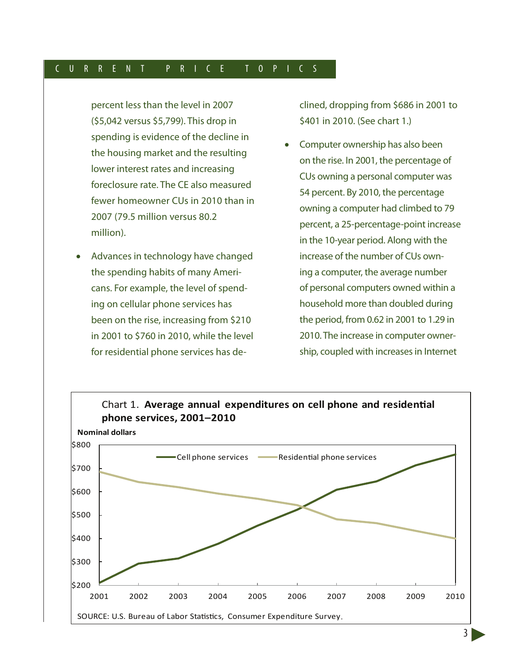percent less than the level in 2007 (\$5,042 versus \$5,799). This drop in spending is evidence of the decline in the housing market and the resulting lower interest rates and increasing foreclosure rate. The CE also measured fewer homeowner CUs in 2010 than in 2007 (79.5 million versus 80.2 million).

Advances in technology have changed the spending habits of many Americans. For example, the level of spending on cellular phone services has been on the rise, increasing from \$210 in 2001 to \$760 in 2010, while the level for residential phone services has declined, dropping from \$686 in 2001 to \$401 in 2010. (See chart 1.)

Computer ownership has also been on the rise. In 2001, the percentage of CUs owning a personal computer was 54 percent. By 2010, the percentage owning a computer had climbed to 79 percent, a 25-percentage-point increase in the 10-year period. Along with the increase of the number of CUs owning a computer, the average number of personal computers owned within a household more than doubled during the period, from 0.62 in 2001 to 1.29 in 2010. The increase in computer ownership, coupled with increases in Internet



3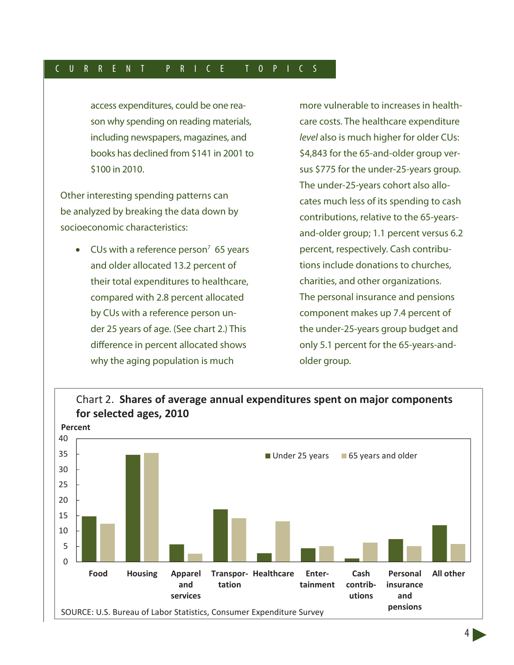access expenditures, could be one reason why spending on reading materials, including newspapers, magazines, and books has declined from \$141 in 2001 to \$100 in 2010.

Other interesting spending patterns can be analyzed by breaking the data down by socioeconomic characteristics:

• CUs with a reference person<sup>7</sup> 65 years and older allocated 13.2 percent of their total expenditures to healthcare, compared with 2.8 percent allocated by CUs with a reference person under 25 years of age. (See chart 2.) This difference in percent allocated shows why the aging population is much

more vulnerable to increases in healthcare costs. The healthcare expenditure *level* also is much higher for older CUs: \$4,843 for the 65-and-older group versus \$775 for the under-25-years group. The under-25-years cohort also allocates much less of its spending to cash contributions, relative to the 65-yearsand-older group; 1.1 percent versus 6.2 percent, respectively. Cash contributions include donations to churches, charities, and other organizations. The personal insurance and pensions component makes up 7.4 percent of the under-25-years group budget and only 5.1 percent for the 65-years-andolder group.



## Chart 2. **Shares of average annual expenditures spent on major components**

4